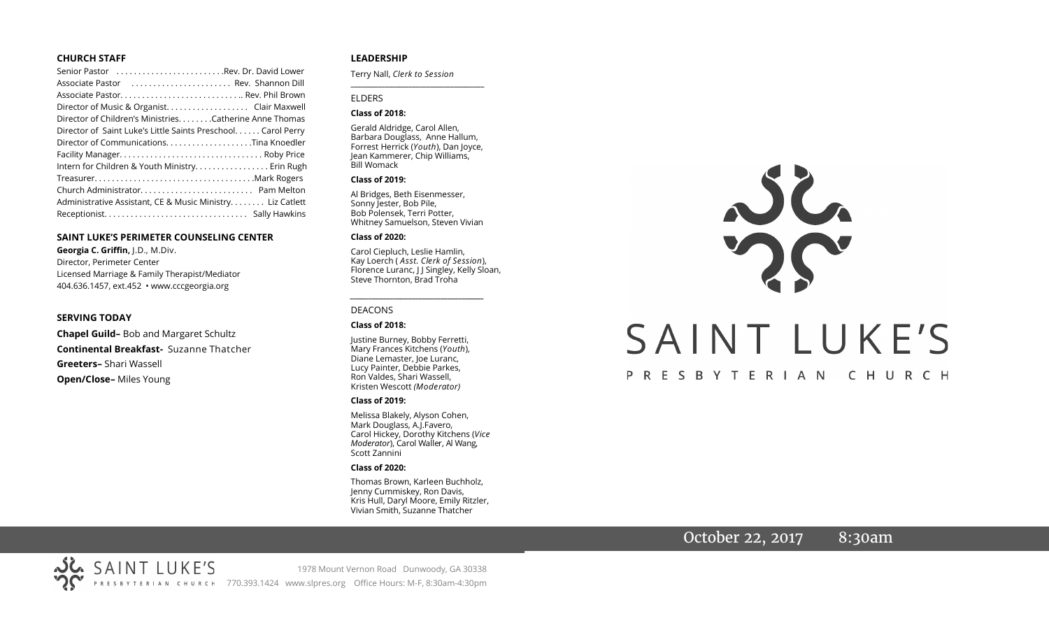#### **CHURCH STAFF**

| Senior Pastor Rev. Dr. David Lower                                                                             |
|----------------------------------------------------------------------------------------------------------------|
| Associate Pastor (Associate Pastor (Associate Pastor (Associate Pastor (Associate Associate Associate Associat |
| Associate Pastor Rev. Phil Brown                                                                               |
| Director of Music & Organist. Clair Maxwell                                                                    |
| Director of Children's Ministries. Catherine Anne Thomas                                                       |
| Director of Saint Luke's Little Saints Preschool. Carol Perry                                                  |
|                                                                                                                |
|                                                                                                                |
| Intern for Children & Youth Ministry Erin Rugh                                                                 |
|                                                                                                                |
|                                                                                                                |
| Administrative Assistant, CE & Music Ministry Liz Catlett                                                      |
|                                                                                                                |

#### **SAINT LUKE'S PERIMETER COUNSELING CENTER**

**Georgia C. Griffin,** J.D., M.Div. Director, Perimeter Center Licensed Marriage & Family Therapist/Mediator 404.636.1457, ext.452 • www.cccgeorgia.org

#### **SERVING TODAY**

**Chapel Guild–** Bob and Margaret Schultz **Continental Breakfast-** Suzanne Thatcher **Greeters–** Shari Wassell **Open/Close–** Miles Young

#### **LEADERSHIP**

Terry Nall, *Clerk to Session* 

#### ELDERS

#### **Class of 2018:**

Gerald Aldridge, Carol Allen, Barbara Douglass, Anne Hallum, Forrest Herrick (*Youth*), Dan Joyce, Jean Kammerer, Chip Williams, Bill Womack

**\_\_\_\_\_\_\_\_\_\_\_\_\_\_\_\_\_\_\_\_\_\_\_\_\_\_\_\_\_\_\_\_\_\_\_\_\_\_\_**

#### **Class of 2019:**

Al Bridges, Beth Eisenmesser, Sonny Jester, Bob Pile, Bob Polensek, Terri Potter, Whitney Samuelson, Steven Vivian

#### **Class of 2020:**

Carol Ciepluch, Leslie Hamlin, Kay Loerch ( *Asst. Clerk of Session*), Florence Luranc, J J Singley, Kelly Sloan, Steve Thornton, Brad Troha

*\_\_\_\_\_\_\_\_\_\_\_\_\_\_\_\_\_\_\_\_\_\_\_\_\_\_\_\_\_\_\_\_\_\_\_\_\_*

#### DEACONS

#### **Class of 2018:**

Justine Burney, Bobby Ferretti, Mary Frances Kitchens (*Youth*), Diane Lemaster, Joe Luranc, Lucy Painter, Debbie Parkes, Ron Valdes, Shari Wassell, Kristen Wescott *(Moderator)*

#### **Class of 2019:**

Melissa Blakely, Alyson Cohen, Mark Douglass, A.J.Favero, Carol Hickey, Dorothy Kitchens (*Vice Moderator*), Carol Waller, Al Wang, Scott Zannini

#### **Class of 2020:**

Thomas Brown, Karleen Buchholz, Jenny Cummiskey, Ron Davis, Kris Hull, Daryl Moore, Emily Ritzler, Vivian Smith, Suzanne Thatcher

# SAINT LUKE'S PRESBYTERIAN CHURCH

### October 22, 2017 8:30am

SAINT LUKE'S 1978 Mount Vernon Road Dunwoody, GA 30338 PRESBYTERIAN CHURCH 770.393.1424 www.slpres.org Office Hours: M-F, 8:30am-4:30pm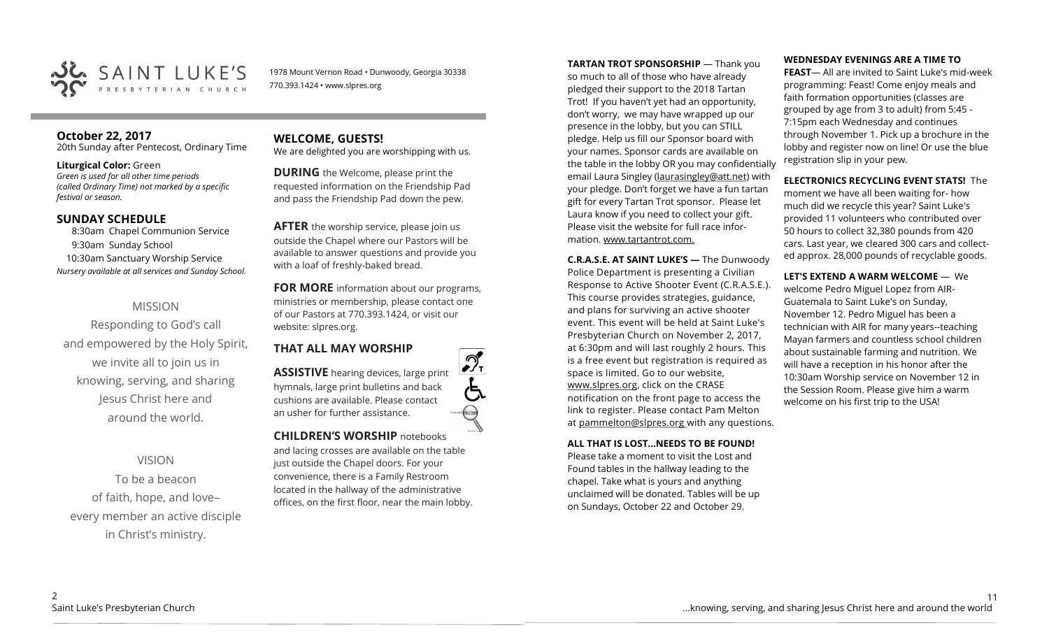

1978 Mount Vernon Road • Dunwoody, Georgia 30338 770.393.1424 • www.slpres.org

#### **October 22, 2017**  20th Sunday after Pentecost, Ordinary Time

#### **Liturgical Color:** Green

*Green is used for all other time periods (called Ordinary Time) not marked by a specific festival or season.* 

#### **SUNDAY SCHEDULE**

8:30am Chapel Communion Service 9:30am Sunday School 10:30am Sanctuary Worship Service *Nursery available at all services and Sunday School.*

#### MISSION

Responding to God's call and empowered by the Holy Spirit, we invite all to join us in knowing, serving, and sharing Jesus Christ here and around the world.

VISION To be a beacon of faith, hope, and love– every member an active disciple in Christ's ministry.

## **WELCOME, GUESTS!**

We are delighted you are worshipping with us.

**DURING** the Welcome, please print the requested information on the Friendship Pad and pass the Friendship Pad down the pew.

**AFTER** the worship service, please join us outside the Chapel where our Pastors will be available to answer questions and provide you with a loaf of freshly-baked bread.

**FOR MORE** information about our programs, ministries or membership, please contact one of our Pastors at 770.393.1424, or visit our website: slpres.org.

## **THAT ALL MAY WORSHIP**

**ASSISTIVE** hearing devices, large print hymnals, large print bulletins and back cushions are available. Please contact an usher for further assistance.

**CHILDREN'S WORSHIP** notebooks and lacing crosses are available on the table just outside the Chapel doors. For your convenience, there is a Family Restroom located in the hallway of the administrative offices, on the first floor, near the main lobby. **TARTAN TROT SPONSORSHIP** — Thank you so much to all of those who have already pledged their support to the 2018 Tartan Trot! If you haven't yet had an opportunity, don't worry, we may have wrapped up our presence in the lobby, but you can STILL pledge. Help us fill our Sponsor board with your names. Sponsor cards are available on the table in the lobby OR you may confidentially email Laura Singley ([laurasingley@att.net\)](mailto:laurasingley@att.net) with your pledge. Don't forget we have a fun tartan gift for every Tartan Trot sponsor. Please let Laura know if you need to collect your gift. Please visit the website for full race information. www.tartantrot.com.

**C.R.A.S.E. AT SAINT LUKE'S —** The Dunwoody Police Department is presenting a Civilian Response to Active Shooter Event (C.R.A.S.E.). This course provides strategies, guidance, and plans for surviving an active shooter event. This event will be held at Saint Luke's Presbyterian Church on November 2, 2017, at 6:30pm and will last roughly 2 hours. This is a free event but registration is required as space is limited. Go to our website, www.slpres.org, click on the CRASE notification on the front page to access the link to register. Please contact Pam Melton at pammelton@slpres.org with any questions.

**ALL THAT IS LOST...NEEDS TO BE FOUND!** 

Please take a moment to visit the Lost and Found tables in the hallway leading to the chapel. Take what is yours and anything unclaimed will be donated. Tables will be up on Sundays, October 22 and October 29.

#### **WEDNESDAY EVENINGS ARE A TIME TO**

**FEAST**— All are invited to Saint Luke's mid-week programming: Feast! Come enjoy meals and faith formation opportunities (classes are grouped by age from 3 to adult) from 5:45 - 7:15pm each Wednesday and continues through November 1. Pick up a brochure in the lobby and register now on line! Or use the blue registration slip in your pew.

## **ELECTRONICS RECYCLING EVENT STATS!** The

moment we have all been waiting for- how much did we recycle this year? Saint Luke's provided 11 volunteers who contributed over 50 hours to collect 32,380 pounds from 420 cars. Last year, we cleared 300 cars and collected approx. 28,000 pounds of recyclable goods.

**LET'S EXTEND A WARM WELCOME** — We welcome Pedro Miguel Lopez from AIR-Guatemala to Saint Luke's on Sunday, November 12. Pedro Miguel has been a technician with AIR for many years--teaching Mayan farmers and countless school children about sustainable farming and nutrition. We will have a reception in his honor after the 10:30am Worship service on November 12 in the Session Room. Please give him a warm welcome on his first trip to the USA!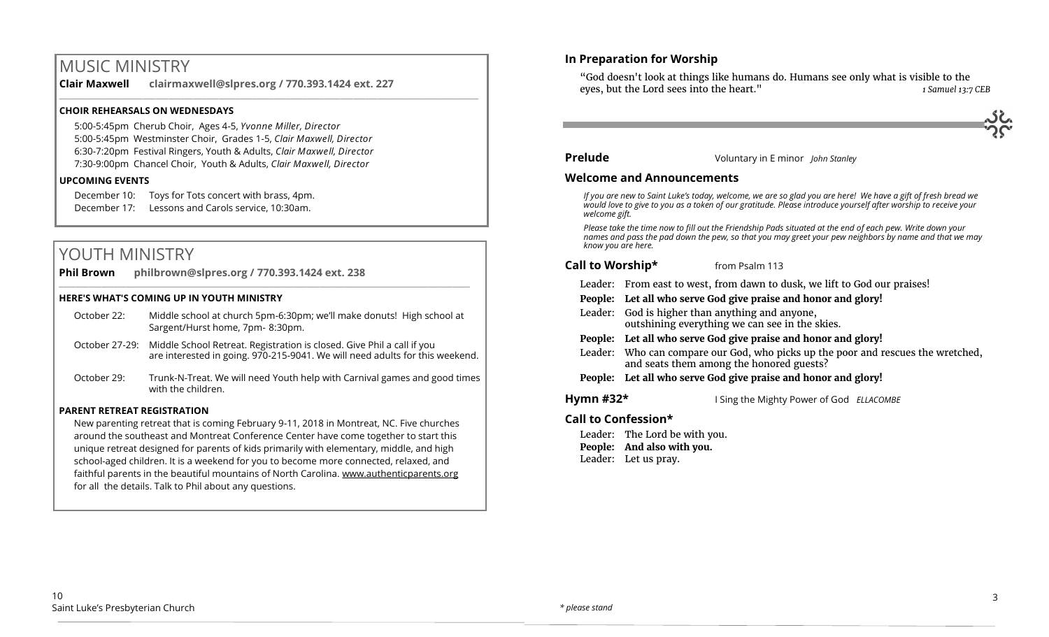## MUSIC MINISTRY

**Clair Maxwell clairmaxwell@slpres.org / 770.393.1424 ext. 227**  \_\_\_\_\_\_\_\_\_\_\_\_\_\_\_\_\_\_\_\_\_\_\_\_\_\_\_\_\_\_\_\_\_\_\_\_\_\_\_\_\_\_\_\_\_\_\_\_\_\_\_\_\_\_\_\_\_\_\_\_\_\_\_\_\_\_\_\_\_\_\_\_\_\_\_\_\_\_\_\_\_\_\_\_\_\_\_\_\_\_\_\_\_\_\_\_\_\_\_\_

#### **CHOIR REHEARSALS ON WEDNESDAYS**

5:00-5:45pm Cherub Choir, Ages 4-5, *Yvonne Miller, Director*  5:00-5:45pm Westminster Choir, Grades 1-5, *Clair Maxwell, Director*  6:30-7:20pm Festival Ringers, Youth & Adults, *Clair Maxwell, Director*  7:30-9:00pm Chancel Choir, Youth & Adults, *Clair Maxwell, Director*

#### **UPCOMING EVENTS**

December 10: Toys for Tots concert with brass, 4pm. December 17: Lessons and Carols service, 10:30am.

## YOUTH MINISTRY

**Phil Brown philbrown@slpres.org / 770.393.1424 ext. 238** 

#### **HERE'S WHAT'S COMING UP IN YOUTH MINISTRY**

October 22: Middle school at church 5pm-6:30pm; we'll make donuts! High school at Sargent/Hurst home, 7pm- 8:30pm.

 $\_$  , and the state of the state of the state of the state of the state of the state of the state of the state of the state of the state of the state of the state of the state of the state of the state of the state of the

- October 27-29: Middle School Retreat. Registration is closed. Give Phil a call if you are interested in going. 970-215-9041. We will need adults for this weekend.
- October 29: Trunk-N-Treat. We will need Youth help with Carnival games and good times with the children.

#### **PARENT RETREAT REGISTRATION**

New parenting retreat that is coming February 9-11, 2018 in Montreat, NC. Five churches around the southeast and Montreat Conference Center have come together to start this unique retreat designed for parents of kids primarily with elementary, middle, and high school-aged children. It is a weekend for you to become more connected, relaxed, and faithful parents in the beautiful mountains of North Carolina. [www.authenticparents.org](http://www.authenticparents.org)  for all the details. Talk to Phil about any questions.

#### **In Preparation for Worship**

"God doesn't look at things like humans do. Humans see only what is visible to the eyes, but the Lord sees into the heart." *1 Samuel 13:7 CEB*

#### **Prelude** Voluntary in E minor *John Stanley*

#### **Welcome and Announcements**

*If you are new to Saint Luke's today, welcome, we are so glad you are here! We have a gift of fresh bread we would love to give to you as a token of our gratitude. Please introduce yourself after worship to receive your welcome gift.*

*Please take the time now to fill out the Friendship Pads situated at the end of each pew. Write down your names and pass the pad down the pew, so that you may greet your pew neighbors by name and that we may know you are here.*

#### **Call to Worship\*** from Psalm 113

- Leader: From east to west, from dawn to dusk, we lift to God our praises!
- **People: Let all who serve God give praise and honor and glory!**
- Leader: God is higher than anything and anyone, outshining everything we can see in the skies.
- **People: Let all who serve God give praise and honor and glory!**
- Leader: Who can compare our God, who picks up the poor and rescues the wretched, and seats them among the honored guests?
- **People: Let all who serve God give praise and honor and glory!**

**Hymn #32\*** I Sing the Mighty Power of God *ELLACOMBE*

#### **Call to Confession\***

Leader: The Lord be with you. **People: And also with you.** Leader: Let us pray.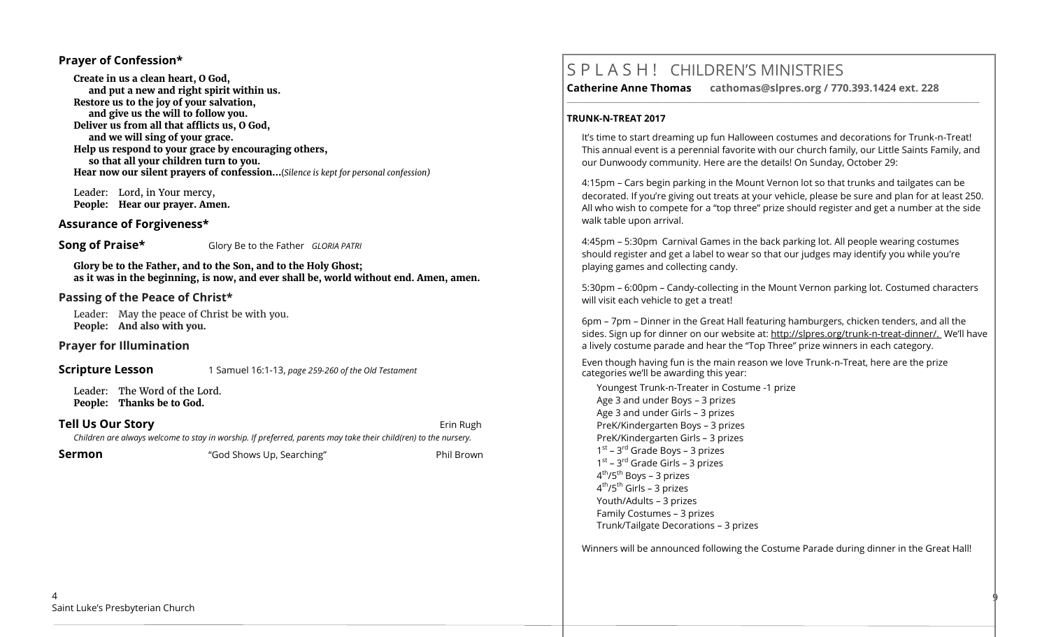#### **Prayer of Confession\***

**Create in us a clean heart, O God, and put a new and right spirit within us. Restore us to the joy of your salvation, and give us the will to follow you. Deliver us from all that afflicts us, O God, and we will sing of your grace. Help us respond to your grace by encouraging others, so that all your children turn to you. Hear now our silent prayers of confession…**(*Silence is kept for personal confession)* 

 Leader: Lord, in Your mercy, **People: Hear our prayer. Amen.**

#### **Assurance of Forgiveness\***

**Song of Praise\*** Glory Be to the Father *GLORIA PATRI* 

**Glory be to the Father, and to the Son, and to the Holy Ghost; as it was in the beginning, is now, and ever shall be, world without end. Amen, amen.**

#### **Passing of the Peace of Christ\***

Leader: May the peace of Christ be with you. **People: And also with you.**

**Prayer for Illumination** 

**Scripture Lesson** 1 Samuel 16:1-13, *page 259-260 of the Old Testament* 

Leader: The Word of the Lord. **People: Thanks be to God.**

**Tell Us Our Story Example 20 and 20 and 20 and 20 and 20 and 20 and 20 and 20 and 20 and 20 and 20 and 20 and 20 and 20 and 20 and 20 and 20 and 20 and 20 and 20 and 20 and 20 and 20 and 20 and 20 and 20 and 20 and 20 a** *Children are always welcome to stay in worship. If preferred, parents may take their child(ren) to the nursery.*

**Sermon** The "God Shows Up, Searching" Thil Brown

## S P L A S H ! CHILDREN'S MINISTRIES

**Catherine Anne Thomas cathomas@slpres.org / 770.393.1424 ext. 228 \_\_\_\_\_\_\_\_\_\_\_\_\_\_\_\_\_\_\_\_\_\_\_\_\_\_\_\_\_\_\_\_\_\_\_\_\_\_\_\_\_\_\_\_\_\_\_\_\_\_\_\_\_\_\_\_\_\_\_\_\_\_\_\_\_\_\_\_\_\_\_\_\_\_\_\_\_\_\_\_\_\_\_\_\_\_\_\_\_\_\_\_\_\_\_\_\_\_\_\_\_\_\_\_\_\_\_** 

#### **TRUNK-N-TREAT 2017**

It's time to start dreaming up fun Halloween costumes and decorations for Trunk-n-Treat! This annual event is a perennial favorite with our church family, our Little Saints Family, and our Dunwoody community. Here are the details! On Sunday, October 29:

4:15pm – Cars begin parking in the Mount Vernon lot so that trunks and tailgates can be decorated. If you're giving out treats at your vehicle, please be sure and plan for at least 250. All who wish to compete for a "top three" prize should register and get a number at the side walk table upon arrival.

4:45pm – 5:30pm Carnival Games in the back parking lot. All people wearing costumes should register and get a label to wear so that our judges may identify you while you're playing games and collecting candy.

5:30pm – 6:00pm – Candy-collecting in the Mount Vernon parking lot. Costumed characters will visit each vehicle to get a treat!

6pm – 7pm – Dinner in the Great Hall featuring hamburgers, chicken tenders, and all the sides. Sign up for dinner on our website at: http://slpres.org/trunk-n-treat-dinner/. We'll have a lively costume parade and hear the "Top Three" prize winners in each category.

Even though having fun is the main reason we love Trunk-n-Treat, here are the prize categories we'll be awarding this year:

Youngest Trunk-n-Treater in Costume -1 prize Age 3 and under Boys – 3 prizes Age 3 and under Girls – 3 prizes PreK/Kindergarten Boys – 3 prizes PreK/Kindergarten Girls – 3 prizes 1<sup>st</sup> – 3<sup>rd</sup> Grade Boys – 3 prizes 1<sup>st</sup> – 3<sup>rd</sup> Grade Girls – 3 prizes 4<sup>th</sup>/5<sup>th</sup> Boys – 3 prizes 4<sup>th</sup>/5<sup>th</sup> Girls – 3 prizes Youth/Adults – 3 prizes Family Costumes – 3 prizes Trunk/Tailgate Decorations – 3 prizes

Winners will be announced following the Costume Parade during dinner in the Great Hall!

9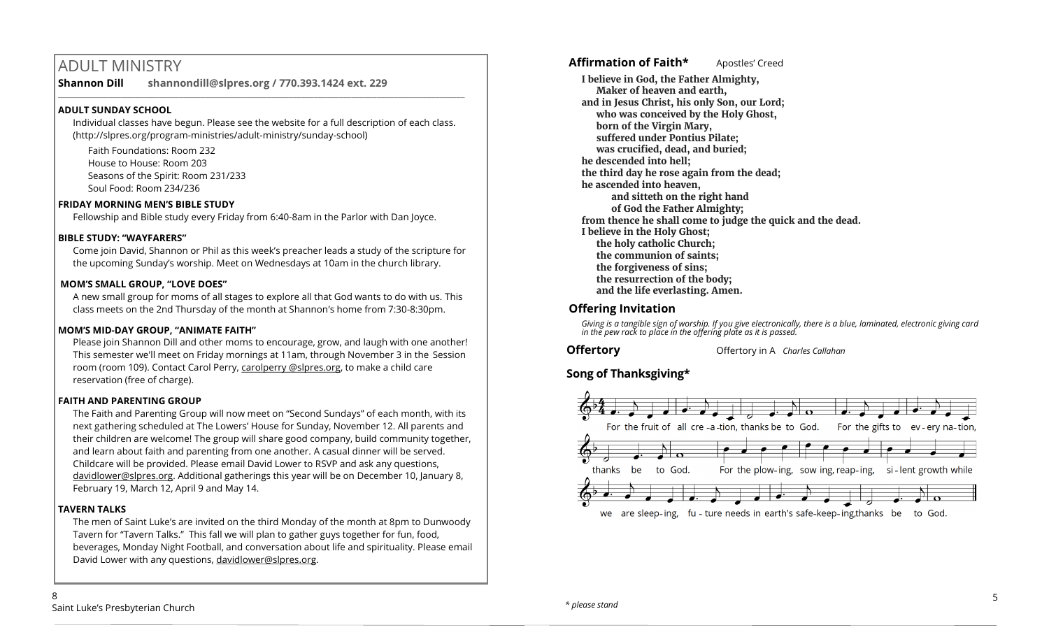## ADULT MINISTRY

**Shannon Dill shannondill@slpres.org / 770.393.1424 ext. 229** 

#### **ADULT SUNDAY SCHOOL**

Individual classes have begun. Please see the website for a full description of each class. (http://slpres.org/program-ministries/adult-ministry/sunday-school)

 $\_$  ,  $\_$  ,  $\_$  ,  $\_$  ,  $\_$  ,  $\_$  ,  $\_$  ,  $\_$  ,  $\_$  ,  $\_$  ,  $\_$  ,  $\_$  ,  $\_$  ,  $\_$  ,  $\_$  ,  $\_$  ,  $\_$  ,  $\_$  ,  $\_$ 

Faith Foundations: Room 232 House to House: Room 203 Seasons of the Spirit: Room 231/233 Soul Food: Room 234/236

#### **FRIDAY MORNING MEN'S BIBLE STUDY**

Fellowship and Bible study every Friday from 6:40-8am in the Parlor with Dan Joyce.

#### **BIBLE STUDY: "WAYFARERS"**

Come join David, Shannon or Phil as this week's preacher leads a study of the scripture for the upcoming Sunday's worship. Meet on Wednesdays at 10am in the church library.

#### **MOM'S SMALL GROUP, "LOVE DOES"**

A new small group for moms of all stages to explore all that God wants to do with us. This class meets on the 2nd Thursday of the month at Shannon's home from 7:30-8:30pm.

#### **MOM'S MID-DAY GROUP, "ANIMATE FAITH"**

Please join Shannon Dill and other moms to encourage, grow, and laugh with one another! This semester we'll meet on Friday mornings at 11am, through November 3 in the Session room (room 109). Contact Carol Perry, carolperry @slpres.org, to make a child care reservation (free of charge).

#### **FAITH AND PARENTING GROUP**

The Faith and Parenting Group will now meet on "Second Sundays" of each month, with its next gathering scheduled at The Lowers' House for Sunday, November 12. All parents and their children are welcome! The group will share good company, build community together, and learn about faith and parenting from one another. A casual dinner will be served. Childcare will be provided. Please email David Lower to RSVP and ask any questions, [davidlower@slpres.org.](mailto:davidlower@slpres.org) Additional gatherings this year will be on December 10, January 8, February 19, March 12, April 9 and May 14.

#### **TAVERN TALKS**

The men of Saint Luke's are invited on the third Monday of the month at 8pm to Dunwoody Tavern for "Tavern Talks." This fall we will plan to gather guys together for fun, food, beverages, Monday Night Football, and conversation about life and spirituality. Please email David Lower with any questions, davidlower@slpres.org.

#### **Affirmation of Faith\*** Apostles' Creed

**I believe in God, the Father Almighty, Maker of heaven and earth, and in Jesus Christ, his only Son, our Lord; who was conceived by the Holy Ghost, born of the Virgin Mary, suffered under Pontius Pilate; was crucified, dead, and buried; he descended into hell; the third day he rose again from the dead; he ascended into heaven, and sitteth on the right hand of God the Father Almighty; from thence he shall come to judge the quick and the dead. I believe in the Holy Ghost; the holy catholic Church; the communion of saints; the forgiveness of sins; the resurrection of the body; and the life everlasting. Amen.**

#### **Offering Invitation**

*Giving is a tangible sign of worship. If you give electronically, there is a blue, laminated, electronic giving card in the pew rack to place in the offering plate as it is passed.*

**Offertory Offertory** in A *Charles Callahan* 

## **Song of Thanksgiving\***